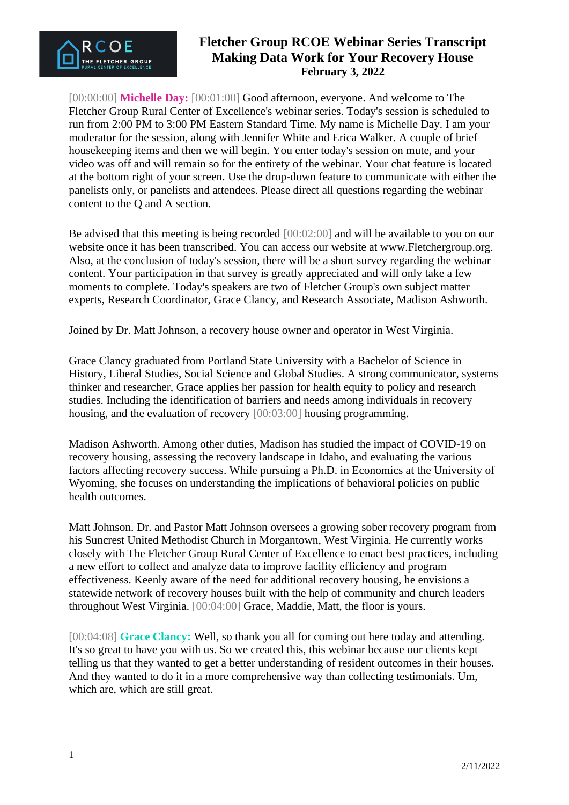

[00:00:00] **Michelle Day:** [00:01:00] Good afternoon, everyone. And welcome to The Fletcher Group Rural Center of Excellence's webinar series. Today's session is scheduled to run from 2:00 PM to 3:00 PM Eastern Standard Time. My name is Michelle Day. I am your moderator for the session, along with Jennifer White and Erica Walker. A couple of brief housekeeping items and then we will begin. You enter today's session on mute, and your video was off and will remain so for the entirety of the webinar. Your chat feature is located at the bottom right of your screen. Use the drop-down feature to communicate with either the panelists only, or panelists and attendees. Please direct all questions regarding the webinar content to the Q and A section.

Be advised that this meeting is being recorded [00:02:00] and will be available to you on our website once it has been transcribed. You can access our website at www.Fletchergroup.org. Also, at the conclusion of today's session, there will be a short survey regarding the webinar content. Your participation in that survey is greatly appreciated and will only take a few moments to complete. Today's speakers are two of Fletcher Group's own subject matter experts, Research Coordinator, Grace Clancy, and Research Associate, Madison Ashworth.

Joined by Dr. Matt Johnson, a recovery house owner and operator in West Virginia.

Grace Clancy graduated from Portland State University with a Bachelor of Science in History, Liberal Studies, Social Science and Global Studies. A strong communicator, systems thinker and researcher, Grace applies her passion for health equity to policy and research studies. Including the identification of barriers and needs among individuals in recovery housing, and the evaluation of recovery [00:03:00] housing programming.

Madison Ashworth. Among other duties, Madison has studied the impact of COVID-19 on recovery housing, assessing the recovery landscape in Idaho, and evaluating the various factors affecting recovery success. While pursuing a Ph.D. in Economics at the University of Wyoming, she focuses on understanding the implications of behavioral policies on public health outcomes.

Matt Johnson. Dr. and Pastor Matt Johnson oversees a growing sober recovery program from his Suncrest United Methodist Church in Morgantown, West Virginia. He currently works closely with The Fletcher Group Rural Center of Excellence to enact best practices, including a new effort to collect and analyze data to improve facility efficiency and program effectiveness. Keenly aware of the need for additional recovery housing, he envisions a statewide network of recovery houses built with the help of community and church leaders throughout West Virginia. [00:04:00] Grace, Maddie, Matt, the floor is yours.

[00:04:08] **Grace Clancy:** Well, so thank you all for coming out here today and attending. It's so great to have you with us. So we created this, this webinar because our clients kept telling us that they wanted to get a better understanding of resident outcomes in their houses. And they wanted to do it in a more comprehensive way than collecting testimonials. Um, which are, which are still great.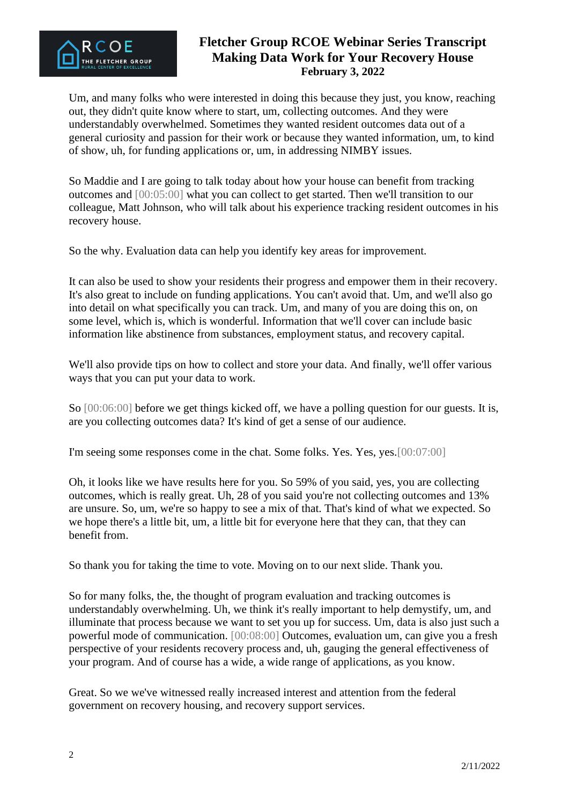

Um, and many folks who were interested in doing this because they just, you know, reaching out, they didn't quite know where to start, um, collecting outcomes. And they were understandably overwhelmed. Sometimes they wanted resident outcomes data out of a general curiosity and passion for their work or because they wanted information, um, to kind of show, uh, for funding applications or, um, in addressing NIMBY issues.

So Maddie and I are going to talk today about how your house can benefit from tracking outcomes and [00:05:00] what you can collect to get started. Then we'll transition to our colleague, Matt Johnson, who will talk about his experience tracking resident outcomes in his recovery house.

So the why. Evaluation data can help you identify key areas for improvement.

It can also be used to show your residents their progress and empower them in their recovery. It's also great to include on funding applications. You can't avoid that. Um, and we'll also go into detail on what specifically you can track. Um, and many of you are doing this on, on some level, which is, which is wonderful. Information that we'll cover can include basic information like abstinence from substances, employment status, and recovery capital.

We'll also provide tips on how to collect and store your data. And finally, we'll offer various ways that you can put your data to work.

So [00:06:00] before we get things kicked off, we have a polling question for our guests. It is, are you collecting outcomes data? It's kind of get a sense of our audience.

I'm seeing some responses come in the chat. Some folks. Yes. Yes, yes.[00:07:00]

Oh, it looks like we have results here for you. So 59% of you said, yes, you are collecting outcomes, which is really great. Uh, 28 of you said you're not collecting outcomes and 13% are unsure. So, um, we're so happy to see a mix of that. That's kind of what we expected. So we hope there's a little bit, um, a little bit for everyone here that they can, that they can benefit from.

So thank you for taking the time to vote. Moving on to our next slide. Thank you.

So for many folks, the, the thought of program evaluation and tracking outcomes is understandably overwhelming. Uh, we think it's really important to help demystify, um, and illuminate that process because we want to set you up for success. Um, data is also just such a powerful mode of communication. [00:08:00] Outcomes, evaluation um, can give you a fresh perspective of your residents recovery process and, uh, gauging the general effectiveness of your program. And of course has a wide, a wide range of applications, as you know.

Great. So we we've witnessed really increased interest and attention from the federal government on recovery housing, and recovery support services.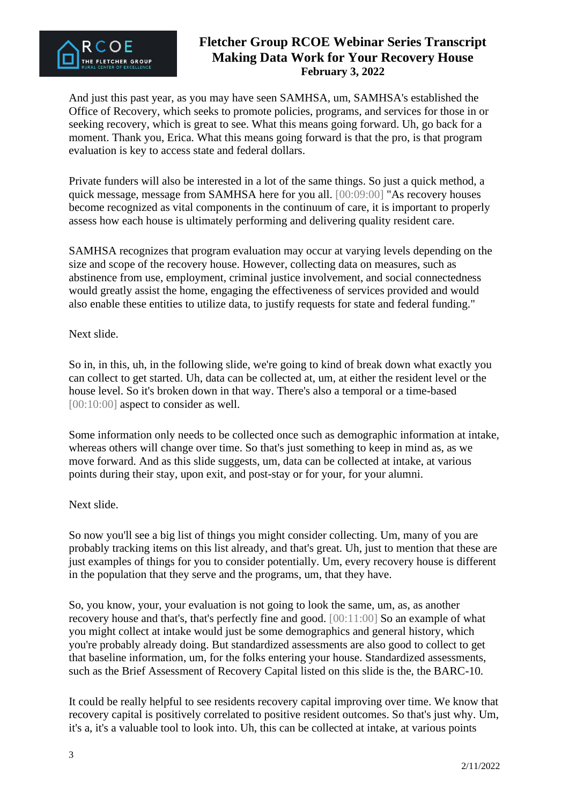

And just this past year, as you may have seen SAMHSA, um, SAMHSA's established the Office of Recovery, which seeks to promote policies, programs, and services for those in or seeking recovery, which is great to see. What this means going forward. Uh, go back for a moment. Thank you, Erica. What this means going forward is that the pro, is that program evaluation is key to access state and federal dollars.

Private funders will also be interested in a lot of the same things. So just a quick method, a quick message, message from SAMHSA here for you all. [00:09:00] "As recovery houses become recognized as vital components in the continuum of care, it is important to properly assess how each house is ultimately performing and delivering quality resident care.

SAMHSA recognizes that program evaluation may occur at varying levels depending on the size and scope of the recovery house. However, collecting data on measures, such as abstinence from use, employment, criminal justice involvement, and social connectedness would greatly assist the home, engaging the effectiveness of services provided and would also enable these entities to utilize data, to justify requests for state and federal funding."

#### Next slide.

So in, in this, uh, in the following slide, we're going to kind of break down what exactly you can collect to get started. Uh, data can be collected at, um, at either the resident level or the house level. So it's broken down in that way. There's also a temporal or a time-based [00:10:00] aspect to consider as well.

Some information only needs to be collected once such as demographic information at intake, whereas others will change over time. So that's just something to keep in mind as, as we move forward. And as this slide suggests, um, data can be collected at intake, at various points during their stay, upon exit, and post-stay or for your, for your alumni.

#### Next slide.

So now you'll see a big list of things you might consider collecting. Um, many of you are probably tracking items on this list already, and that's great. Uh, just to mention that these are just examples of things for you to consider potentially. Um, every recovery house is different in the population that they serve and the programs, um, that they have.

So, you know, your, your evaluation is not going to look the same, um, as, as another recovery house and that's, that's perfectly fine and good. [00:11:00] So an example of what you might collect at intake would just be some demographics and general history, which you're probably already doing. But standardized assessments are also good to collect to get that baseline information, um, for the folks entering your house. Standardized assessments, such as the Brief Assessment of Recovery Capital listed on this slide is the, the BARC-10.

It could be really helpful to see residents recovery capital improving over time. We know that recovery capital is positively correlated to positive resident outcomes. So that's just why. Um, it's a, it's a valuable tool to look into. Uh, this can be collected at intake, at various points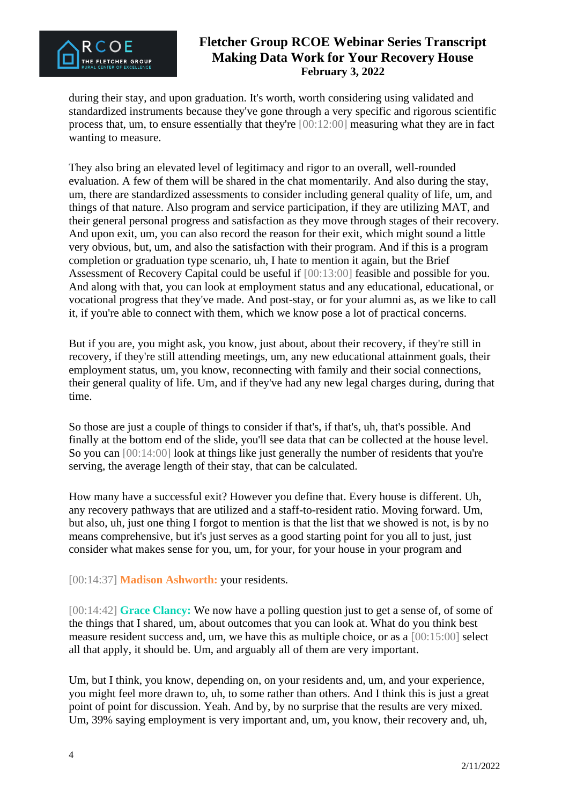

during their stay, and upon graduation. It's worth, worth considering using validated and standardized instruments because they've gone through a very specific and rigorous scientific process that, um, to ensure essentially that they're [00:12:00] measuring what they are in fact wanting to measure.

They also bring an elevated level of legitimacy and rigor to an overall, well-rounded evaluation. A few of them will be shared in the chat momentarily. And also during the stay, um, there are standardized assessments to consider including general quality of life, um, and things of that nature. Also program and service participation, if they are utilizing MAT, and their general personal progress and satisfaction as they move through stages of their recovery. And upon exit, um, you can also record the reason for their exit, which might sound a little very obvious, but, um, and also the satisfaction with their program. And if this is a program completion or graduation type scenario, uh, I hate to mention it again, but the Brief Assessment of Recovery Capital could be useful if [00:13:00] feasible and possible for you. And along with that, you can look at employment status and any educational, educational, or vocational progress that they've made. And post-stay, or for your alumni as, as we like to call it, if you're able to connect with them, which we know pose a lot of practical concerns.

But if you are, you might ask, you know, just about, about their recovery, if they're still in recovery, if they're still attending meetings, um, any new educational attainment goals, their employment status, um, you know, reconnecting with family and their social connections, their general quality of life. Um, and if they've had any new legal charges during, during that time.

So those are just a couple of things to consider if that's, if that's, uh, that's possible. And finally at the bottom end of the slide, you'll see data that can be collected at the house level. So you can [00:14:00] look at things like just generally the number of residents that you're serving, the average length of their stay, that can be calculated.

How many have a successful exit? However you define that. Every house is different. Uh, any recovery pathways that are utilized and a staff-to-resident ratio. Moving forward. Um, but also, uh, just one thing I forgot to mention is that the list that we showed is not, is by no means comprehensive, but it's just serves as a good starting point for you all to just, just consider what makes sense for you, um, for your, for your house in your program and

[00:14:37] **Madison Ashworth:** your residents.

[00:14:42] **Grace Clancy:** We now have a polling question just to get a sense of, of some of the things that I shared, um, about outcomes that you can look at. What do you think best measure resident success and, um, we have this as multiple choice, or as a [00:15:00] select all that apply, it should be. Um, and arguably all of them are very important.

Um, but I think, you know, depending on, on your residents and, um, and your experience, you might feel more drawn to, uh, to some rather than others. And I think this is just a great point of point for discussion. Yeah. And by, by no surprise that the results are very mixed. Um, 39% saying employment is very important and, um, you know, their recovery and, uh,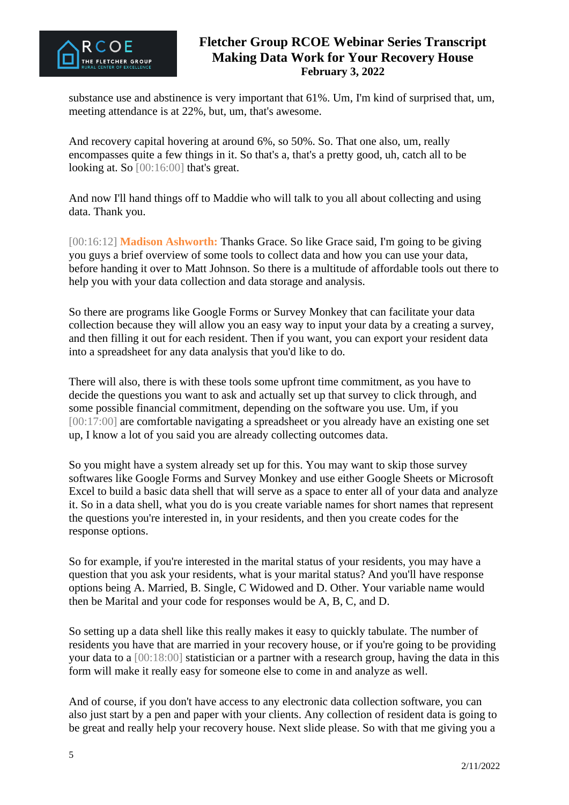

substance use and abstinence is very important that 61%. Um, I'm kind of surprised that, um, meeting attendance is at 22%, but, um, that's awesome.

And recovery capital hovering at around 6%, so 50%. So. That one also, um, really encompasses quite a few things in it. So that's a, that's a pretty good, uh, catch all to be looking at. So [00:16:00] that's great.

And now I'll hand things off to Maddie who will talk to you all about collecting and using data. Thank you.

[00:16:12] **Madison Ashworth:** Thanks Grace. So like Grace said, I'm going to be giving you guys a brief overview of some tools to collect data and how you can use your data, before handing it over to Matt Johnson. So there is a multitude of affordable tools out there to help you with your data collection and data storage and analysis.

So there are programs like Google Forms or Survey Monkey that can facilitate your data collection because they will allow you an easy way to input your data by a creating a survey, and then filling it out for each resident. Then if you want, you can export your resident data into a spreadsheet for any data analysis that you'd like to do.

There will also, there is with these tools some upfront time commitment, as you have to decide the questions you want to ask and actually set up that survey to click through, and some possible financial commitment, depending on the software you use. Um, if you [00:17:00] are comfortable navigating a spreadsheet or you already have an existing one set up, I know a lot of you said you are already collecting outcomes data.

So you might have a system already set up for this. You may want to skip those survey softwares like Google Forms and Survey Monkey and use either Google Sheets or Microsoft Excel to build a basic data shell that will serve as a space to enter all of your data and analyze it. So in a data shell, what you do is you create variable names for short names that represent the questions you're interested in, in your residents, and then you create codes for the response options.

So for example, if you're interested in the marital status of your residents, you may have a question that you ask your residents, what is your marital status? And you'll have response options being A. Married, B. Single, C Widowed and D. Other. Your variable name would then be Marital and your code for responses would be A, B, C, and D.

So setting up a data shell like this really makes it easy to quickly tabulate. The number of residents you have that are married in your recovery house, or if you're going to be providing your data to a [00:18:00] statistician or a partner with a research group, having the data in this form will make it really easy for someone else to come in and analyze as well.

And of course, if you don't have access to any electronic data collection software, you can also just start by a pen and paper with your clients. Any collection of resident data is going to be great and really help your recovery house. Next slide please. So with that me giving you a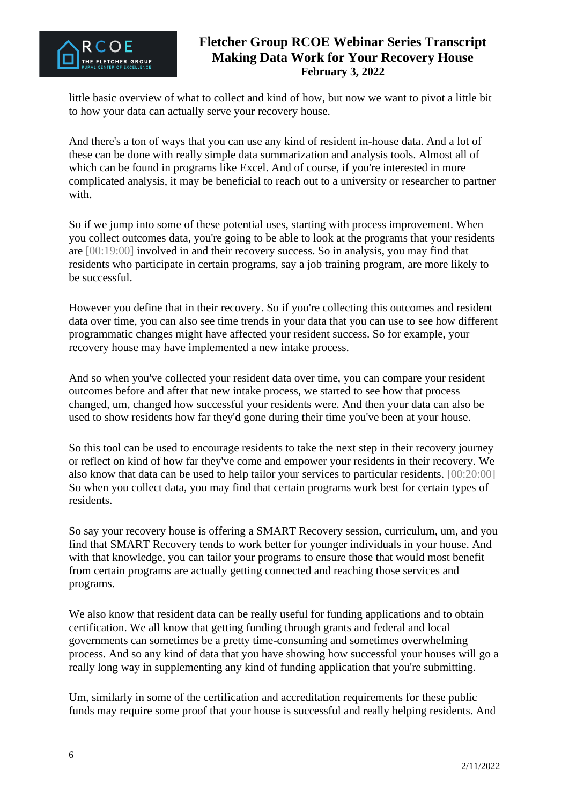

little basic overview of what to collect and kind of how, but now we want to pivot a little bit to how your data can actually serve your recovery house.

And there's a ton of ways that you can use any kind of resident in-house data. And a lot of these can be done with really simple data summarization and analysis tools. Almost all of which can be found in programs like Excel. And of course, if you're interested in more complicated analysis, it may be beneficial to reach out to a university or researcher to partner with.

So if we jump into some of these potential uses, starting with process improvement. When you collect outcomes data, you're going to be able to look at the programs that your residents are [00:19:00] involved in and their recovery success. So in analysis, you may find that residents who participate in certain programs, say a job training program, are more likely to be successful.

However you define that in their recovery. So if you're collecting this outcomes and resident data over time, you can also see time trends in your data that you can use to see how different programmatic changes might have affected your resident success. So for example, your recovery house may have implemented a new intake process.

And so when you've collected your resident data over time, you can compare your resident outcomes before and after that new intake process, we started to see how that process changed, um, changed how successful your residents were. And then your data can also be used to show residents how far they'd gone during their time you've been at your house.

So this tool can be used to encourage residents to take the next step in their recovery journey or reflect on kind of how far they've come and empower your residents in their recovery. We also know that data can be used to help tailor your services to particular residents. [00:20:00] So when you collect data, you may find that certain programs work best for certain types of residents.

So say your recovery house is offering a SMART Recovery session, curriculum, um, and you find that SMART Recovery tends to work better for younger individuals in your house. And with that knowledge, you can tailor your programs to ensure those that would most benefit from certain programs are actually getting connected and reaching those services and programs.

We also know that resident data can be really useful for funding applications and to obtain certification. We all know that getting funding through grants and federal and local governments can sometimes be a pretty time-consuming and sometimes overwhelming process. And so any kind of data that you have showing how successful your houses will go a really long way in supplementing any kind of funding application that you're submitting.

Um, similarly in some of the certification and accreditation requirements for these public funds may require some proof that your house is successful and really helping residents. And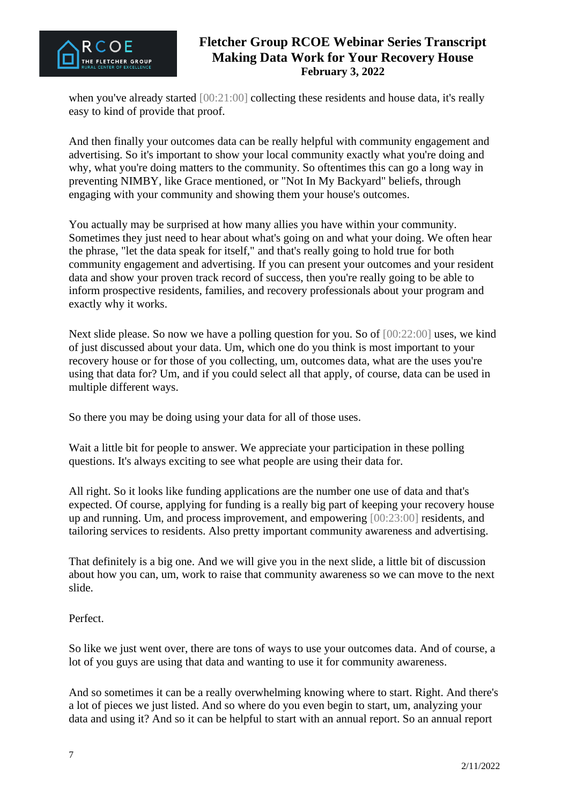

when you've already started [00:21:00] collecting these residents and house data, it's really easy to kind of provide that proof.

And then finally your outcomes data can be really helpful with community engagement and advertising. So it's important to show your local community exactly what you're doing and why, what you're doing matters to the community. So oftentimes this can go a long way in preventing NIMBY, like Grace mentioned, or "Not In My Backyard" beliefs, through engaging with your community and showing them your house's outcomes.

You actually may be surprised at how many allies you have within your community. Sometimes they just need to hear about what's going on and what your doing. We often hear the phrase, "let the data speak for itself," and that's really going to hold true for both community engagement and advertising. If you can present your outcomes and your resident data and show your proven track record of success, then you're really going to be able to inform prospective residents, families, and recovery professionals about your program and exactly why it works.

Next slide please. So now we have a polling question for you. So of  $[00:22:00]$  uses, we kind of just discussed about your data. Um, which one do you think is most important to your recovery house or for those of you collecting, um, outcomes data, what are the uses you're using that data for? Um, and if you could select all that apply, of course, data can be used in multiple different ways.

So there you may be doing using your data for all of those uses.

Wait a little bit for people to answer. We appreciate your participation in these polling questions. It's always exciting to see what people are using their data for.

All right. So it looks like funding applications are the number one use of data and that's expected. Of course, applying for funding is a really big part of keeping your recovery house up and running. Um, and process improvement, and empowering [00:23:00] residents, and tailoring services to residents. Also pretty important community awareness and advertising.

That definitely is a big one. And we will give you in the next slide, a little bit of discussion about how you can, um, work to raise that community awareness so we can move to the next slide.

#### Perfect.

So like we just went over, there are tons of ways to use your outcomes data. And of course, a lot of you guys are using that data and wanting to use it for community awareness.

And so sometimes it can be a really overwhelming knowing where to start. Right. And there's a lot of pieces we just listed. And so where do you even begin to start, um, analyzing your data and using it? And so it can be helpful to start with an annual report. So an annual report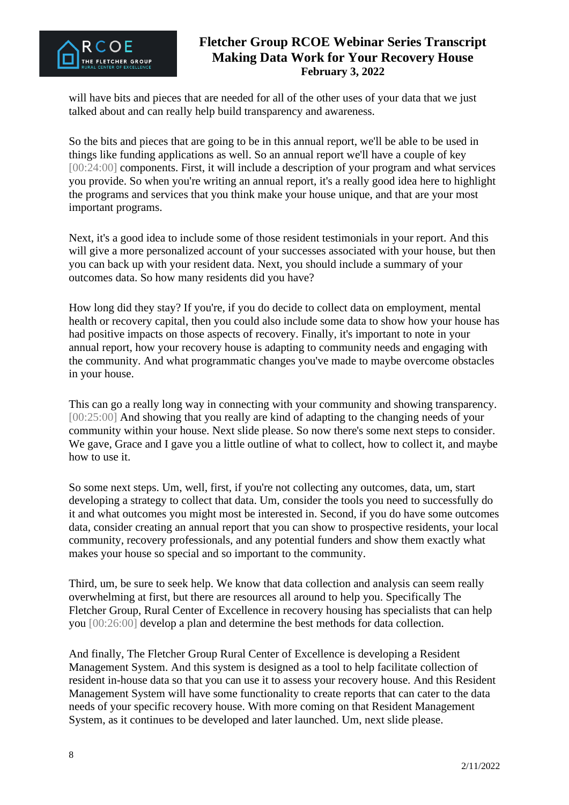

will have bits and pieces that are needed for all of the other uses of your data that we just talked about and can really help build transparency and awareness.

So the bits and pieces that are going to be in this annual report, we'll be able to be used in things like funding applications as well. So an annual report we'll have a couple of key [00:24:00] components. First, it will include a description of your program and what services you provide. So when you're writing an annual report, it's a really good idea here to highlight the programs and services that you think make your house unique, and that are your most important programs.

Next, it's a good idea to include some of those resident testimonials in your report. And this will give a more personalized account of your successes associated with your house, but then you can back up with your resident data. Next, you should include a summary of your outcomes data. So how many residents did you have?

How long did they stay? If you're, if you do decide to collect data on employment, mental health or recovery capital, then you could also include some data to show how your house has had positive impacts on those aspects of recovery. Finally, it's important to note in your annual report, how your recovery house is adapting to community needs and engaging with the community. And what programmatic changes you've made to maybe overcome obstacles in your house.

This can go a really long way in connecting with your community and showing transparency. [00:25:00] And showing that you really are kind of adapting to the changing needs of your community within your house. Next slide please. So now there's some next steps to consider. We gave, Grace and I gave you a little outline of what to collect, how to collect it, and maybe how to use it.

So some next steps. Um, well, first, if you're not collecting any outcomes, data, um, start developing a strategy to collect that data. Um, consider the tools you need to successfully do it and what outcomes you might most be interested in. Second, if you do have some outcomes data, consider creating an annual report that you can show to prospective residents, your local community, recovery professionals, and any potential funders and show them exactly what makes your house so special and so important to the community.

Third, um, be sure to seek help. We know that data collection and analysis can seem really overwhelming at first, but there are resources all around to help you. Specifically The Fletcher Group, Rural Center of Excellence in recovery housing has specialists that can help you [00:26:00] develop a plan and determine the best methods for data collection.

And finally, The Fletcher Group Rural Center of Excellence is developing a Resident Management System. And this system is designed as a tool to help facilitate collection of resident in-house data so that you can use it to assess your recovery house. And this Resident Management System will have some functionality to create reports that can cater to the data needs of your specific recovery house. With more coming on that Resident Management System, as it continues to be developed and later launched. Um, next slide please.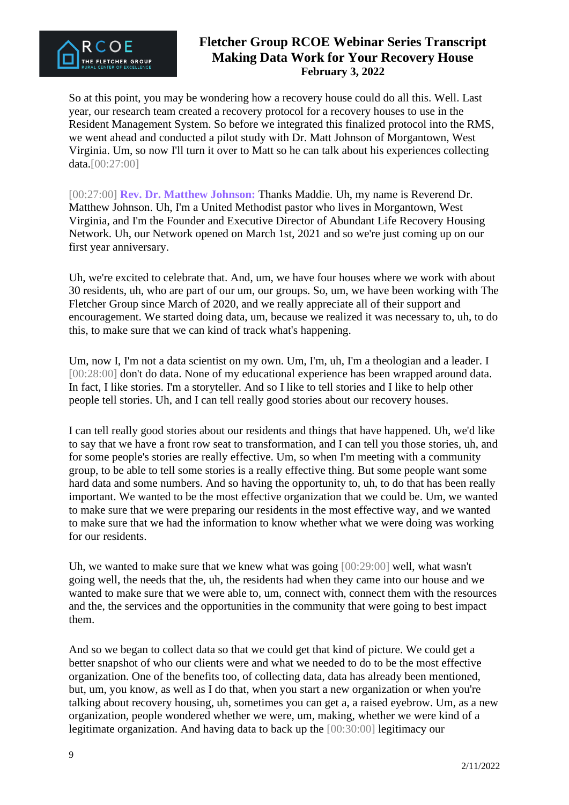

So at this point, you may be wondering how a recovery house could do all this. Well. Last year, our research team created a recovery protocol for a recovery houses to use in the Resident Management System. So before we integrated this finalized protocol into the RMS, we went ahead and conducted a pilot study with Dr. Matt Johnson of Morgantown, West Virginia. Um, so now I'll turn it over to Matt so he can talk about his experiences collecting data.[00:27:00]

[00:27:00] **Rev. Dr. Matthew Johnson:** Thanks Maddie. Uh, my name is Reverend Dr. Matthew Johnson. Uh, I'm a United Methodist pastor who lives in Morgantown, West Virginia, and I'm the Founder and Executive Director of Abundant Life Recovery Housing Network. Uh, our Network opened on March 1st, 2021 and so we're just coming up on our first year anniversary.

Uh, we're excited to celebrate that. And, um, we have four houses where we work with about 30 residents, uh, who are part of our um, our groups. So, um, we have been working with The Fletcher Group since March of 2020, and we really appreciate all of their support and encouragement. We started doing data, um, because we realized it was necessary to, uh, to do this, to make sure that we can kind of track what's happening.

Um, now I, I'm not a data scientist on my own. Um, I'm, uh, I'm a theologian and a leader. I [00:28:00] don't do data. None of my educational experience has been wrapped around data. In fact, I like stories. I'm a storyteller. And so I like to tell stories and I like to help other people tell stories. Uh, and I can tell really good stories about our recovery houses.

I can tell really good stories about our residents and things that have happened. Uh, we'd like to say that we have a front row seat to transformation, and I can tell you those stories, uh, and for some people's stories are really effective. Um, so when I'm meeting with a community group, to be able to tell some stories is a really effective thing. But some people want some hard data and some numbers. And so having the opportunity to, uh, to do that has been really important. We wanted to be the most effective organization that we could be. Um, we wanted to make sure that we were preparing our residents in the most effective way, and we wanted to make sure that we had the information to know whether what we were doing was working for our residents.

Uh, we wanted to make sure that we knew what was going [00:29:00] well, what wasn't going well, the needs that the, uh, the residents had when they came into our house and we wanted to make sure that we were able to, um, connect with, connect them with the resources and the, the services and the opportunities in the community that were going to best impact them.

And so we began to collect data so that we could get that kind of picture. We could get a better snapshot of who our clients were and what we needed to do to be the most effective organization. One of the benefits too, of collecting data, data has already been mentioned, but, um, you know, as well as I do that, when you start a new organization or when you're talking about recovery housing, uh, sometimes you can get a, a raised eyebrow. Um, as a new organization, people wondered whether we were, um, making, whether we were kind of a legitimate organization. And having data to back up the [00:30:00] legitimacy our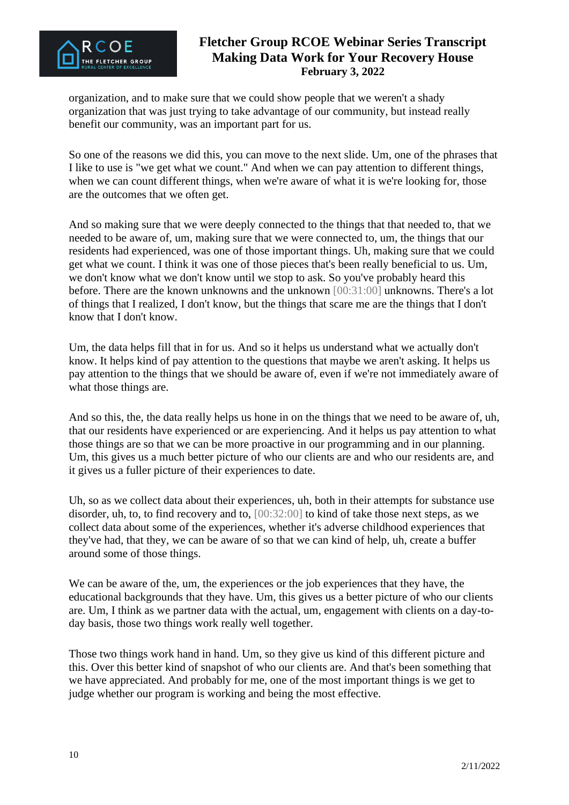

organization, and to make sure that we could show people that we weren't a shady organization that was just trying to take advantage of our community, but instead really benefit our community, was an important part for us.

So one of the reasons we did this, you can move to the next slide. Um, one of the phrases that I like to use is "we get what we count." And when we can pay attention to different things, when we can count different things, when we're aware of what it is we're looking for, those are the outcomes that we often get.

And so making sure that we were deeply connected to the things that that needed to, that we needed to be aware of, um, making sure that we were connected to, um, the things that our residents had experienced, was one of those important things. Uh, making sure that we could get what we count. I think it was one of those pieces that's been really beneficial to us. Um, we don't know what we don't know until we stop to ask. So you've probably heard this before. There are the known unknowns and the unknown [00:31:00] unknowns. There's a lot of things that I realized, I don't know, but the things that scare me are the things that I don't know that I don't know.

Um, the data helps fill that in for us. And so it helps us understand what we actually don't know. It helps kind of pay attention to the questions that maybe we aren't asking. It helps us pay attention to the things that we should be aware of, even if we're not immediately aware of what those things are.

And so this, the, the data really helps us hone in on the things that we need to be aware of, uh, that our residents have experienced or are experiencing. And it helps us pay attention to what those things are so that we can be more proactive in our programming and in our planning. Um, this gives us a much better picture of who our clients are and who our residents are, and it gives us a fuller picture of their experiences to date.

Uh, so as we collect data about their experiences, uh, both in their attempts for substance use disorder, uh, to, to find recovery and to, [00:32:00] to kind of take those next steps, as we collect data about some of the experiences, whether it's adverse childhood experiences that they've had, that they, we can be aware of so that we can kind of help, uh, create a buffer around some of those things.

We can be aware of the, um, the experiences or the job experiences that they have, the educational backgrounds that they have. Um, this gives us a better picture of who our clients are. Um, I think as we partner data with the actual, um, engagement with clients on a day-today basis, those two things work really well together.

Those two things work hand in hand. Um, so they give us kind of this different picture and this. Over this better kind of snapshot of who our clients are. And that's been something that we have appreciated. And probably for me, one of the most important things is we get to judge whether our program is working and being the most effective.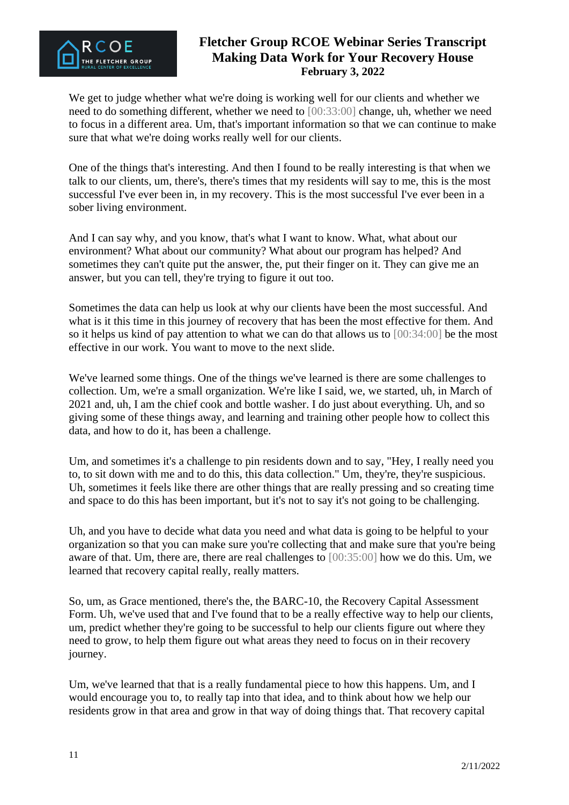

We get to judge whether what we're doing is working well for our clients and whether we need to do something different, whether we need to [00:33:00] change, uh, whether we need to focus in a different area. Um, that's important information so that we can continue to make sure that what we're doing works really well for our clients.

One of the things that's interesting. And then I found to be really interesting is that when we talk to our clients, um, there's, there's times that my residents will say to me, this is the most successful I've ever been in, in my recovery. This is the most successful I've ever been in a sober living environment.

And I can say why, and you know, that's what I want to know. What, what about our environment? What about our community? What about our program has helped? And sometimes they can't quite put the answer, the, put their finger on it. They can give me an answer, but you can tell, they're trying to figure it out too.

Sometimes the data can help us look at why our clients have been the most successful. And what is it this time in this journey of recovery that has been the most effective for them. And so it helps us kind of pay attention to what we can do that allows us to [00:34:00] be the most effective in our work. You want to move to the next slide.

We've learned some things. One of the things we've learned is there are some challenges to collection. Um, we're a small organization. We're like I said, we, we started, uh, in March of 2021 and, uh, I am the chief cook and bottle washer. I do just about everything. Uh, and so giving some of these things away, and learning and training other people how to collect this data, and how to do it, has been a challenge.

Um, and sometimes it's a challenge to pin residents down and to say, "Hey, I really need you to, to sit down with me and to do this, this data collection." Um, they're, they're suspicious. Uh, sometimes it feels like there are other things that are really pressing and so creating time and space to do this has been important, but it's not to say it's not going to be challenging.

Uh, and you have to decide what data you need and what data is going to be helpful to your organization so that you can make sure you're collecting that and make sure that you're being aware of that. Um, there are, there are real challenges to [00:35:00] how we do this. Um, we learned that recovery capital really, really matters.

So, um, as Grace mentioned, there's the, the BARC-10, the Recovery Capital Assessment Form. Uh, we've used that and I've found that to be a really effective way to help our clients, um, predict whether they're going to be successful to help our clients figure out where they need to grow, to help them figure out what areas they need to focus on in their recovery journey.

Um, we've learned that that is a really fundamental piece to how this happens. Um, and I would encourage you to, to really tap into that idea, and to think about how we help our residents grow in that area and grow in that way of doing things that. That recovery capital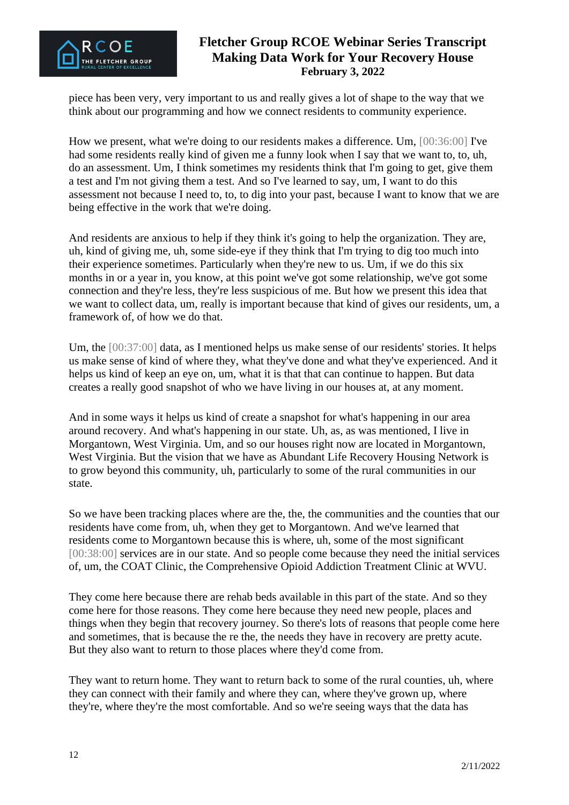

piece has been very, very important to us and really gives a lot of shape to the way that we think about our programming and how we connect residents to community experience.

How we present, what we're doing to our residents makes a difference. Um, [00:36:00] I've had some residents really kind of given me a funny look when I say that we want to, to, uh, do an assessment. Um, I think sometimes my residents think that I'm going to get, give them a test and I'm not giving them a test. And so I've learned to say, um, I want to do this assessment not because I need to, to, to dig into your past, because I want to know that we are being effective in the work that we're doing.

And residents are anxious to help if they think it's going to help the organization. They are, uh, kind of giving me, uh, some side-eye if they think that I'm trying to dig too much into their experience sometimes. Particularly when they're new to us. Um, if we do this six months in or a year in, you know, at this point we've got some relationship, we've got some connection and they're less, they're less suspicious of me. But how we present this idea that we want to collect data, um, really is important because that kind of gives our residents, um, a framework of, of how we do that.

Um, the [00:37:00] data, as I mentioned helps us make sense of our residents' stories. It helps us make sense of kind of where they, what they've done and what they've experienced. And it helps us kind of keep an eye on, um, what it is that that can continue to happen. But data creates a really good snapshot of who we have living in our houses at, at any moment.

And in some ways it helps us kind of create a snapshot for what's happening in our area around recovery. And what's happening in our state. Uh, as, as was mentioned, I live in Morgantown, West Virginia. Um, and so our houses right now are located in Morgantown, West Virginia. But the vision that we have as Abundant Life Recovery Housing Network is to grow beyond this community, uh, particularly to some of the rural communities in our state.

So we have been tracking places where are the, the, the communities and the counties that our residents have come from, uh, when they get to Morgantown. And we've learned that residents come to Morgantown because this is where, uh, some of the most significant [00:38:00] services are in our state. And so people come because they need the initial services of, um, the COAT Clinic, the Comprehensive Opioid Addiction Treatment Clinic at WVU.

They come here because there are rehab beds available in this part of the state. And so they come here for those reasons. They come here because they need new people, places and things when they begin that recovery journey. So there's lots of reasons that people come here and sometimes, that is because the re the, the needs they have in recovery are pretty acute. But they also want to return to those places where they'd come from.

They want to return home. They want to return back to some of the rural counties, uh, where they can connect with their family and where they can, where they've grown up, where they're, where they're the most comfortable. And so we're seeing ways that the data has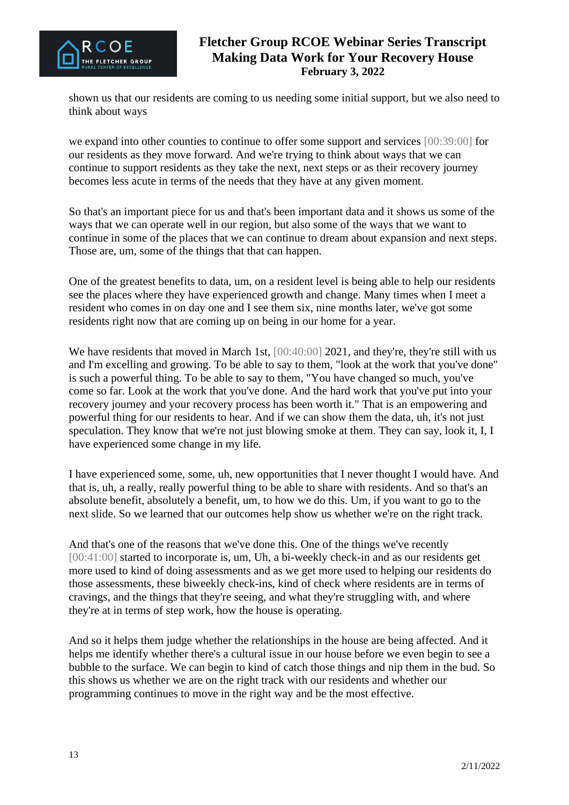

shown us that our residents are coming to us needing some initial support, but we also need to think about ways

we expand into other counties to continue to offer some support and services [00:39:00] for our residents as they move forward. And we're trying to think about ways that we can continue to support residents as they take the next, next steps or as their recovery journey becomes less acute in terms of the needs that they have at any given moment.

So that's an important piece for us and that's been important data and it shows us some of the ways that we can operate well in our region, but also some of the ways that we want to continue in some of the places that we can continue to dream about expansion and next steps. Those are, um, some of the things that that can happen.

One of the greatest benefits to data, um, on a resident level is being able to help our residents see the places where they have experienced growth and change. Many times when I meet a resident who comes in on day one and I see them six, nine months later, we've got some residents right now that are coming up on being in our home for a year.

We have residents that moved in March 1st,  $[00:40:00]$  2021, and they're, they're still with us and I'm excelling and growing. To be able to say to them, "look at the work that you've done" is such a powerful thing. To be able to say to them, "You have changed so much, you've come so far. Look at the work that you've done. And the hard work that you've put into your recovery journey and your recovery process has been worth it." That is an empowering and powerful thing for our residents to hear. And if we can show them the data, uh, it's not just speculation. They know that we're not just blowing smoke at them. They can say, look it, I, I have experienced some change in my life.

I have experienced some, some, uh, new opportunities that I never thought I would have. And that is, uh, a really, really powerful thing to be able to share with residents. And so that's an absolute benefit, absolutely a benefit, um, to how we do this. Um, if you want to go to the next slide. So we learned that our outcomes help show us whether we're on the right track.

And that's one of the reasons that we've done this. One of the things we've recently [00:41:00] started to incorporate is, um, Uh, a bi-weekly check-in and as our residents get more used to kind of doing assessments and as we get more used to helping our residents do those assessments, these biweekly check-ins, kind of check where residents are in terms of cravings, and the things that they're seeing, and what they're struggling with, and where they're at in terms of step work, how the house is operating.

And so it helps them judge whether the relationships in the house are being affected. And it helps me identify whether there's a cultural issue in our house before we even begin to see a bubble to the surface. We can begin to kind of catch those things and nip them in the bud. So this shows us whether we are on the right track with our residents and whether our programming continues to move in the right way and be the most effective.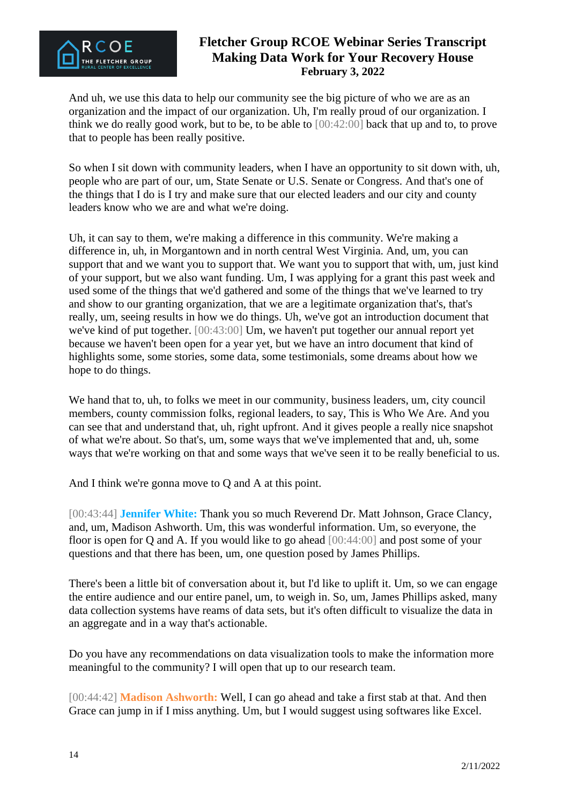

And uh, we use this data to help our community see the big picture of who we are as an organization and the impact of our organization. Uh, I'm really proud of our organization. I think we do really good work, but to be, to be able to [00:42:00] back that up and to, to prove that to people has been really positive.

So when I sit down with community leaders, when I have an opportunity to sit down with, uh, people who are part of our, um, State Senate or U.S. Senate or Congress. And that's one of the things that I do is I try and make sure that our elected leaders and our city and county leaders know who we are and what we're doing.

Uh, it can say to them, we're making a difference in this community. We're making a difference in, uh, in Morgantown and in north central West Virginia. And, um, you can support that and we want you to support that. We want you to support that with, um, just kind of your support, but we also want funding. Um, I was applying for a grant this past week and used some of the things that we'd gathered and some of the things that we've learned to try and show to our granting organization, that we are a legitimate organization that's, that's really, um, seeing results in how we do things. Uh, we've got an introduction document that we've kind of put together. [00:43:00] Um, we haven't put together our annual report yet because we haven't been open for a year yet, but we have an intro document that kind of highlights some, some stories, some data, some testimonials, some dreams about how we hope to do things.

We hand that to, uh, to folks we meet in our community, business leaders, um, city council members, county commission folks, regional leaders, to say, This is Who We Are. And you can see that and understand that, uh, right upfront. And it gives people a really nice snapshot of what we're about. So that's, um, some ways that we've implemented that and, uh, some ways that we're working on that and some ways that we've seen it to be really beneficial to us.

And I think we're gonna move to Q and A at this point.

[00:43:44] **Jennifer White:** Thank you so much Reverend Dr. Matt Johnson, Grace Clancy, and, um, Madison Ashworth. Um, this was wonderful information. Um, so everyone, the floor is open for Q and A. If you would like to go ahead  $[00:44:00]$  and post some of your questions and that there has been, um, one question posed by James Phillips.

There's been a little bit of conversation about it, but I'd like to uplift it. Um, so we can engage the entire audience and our entire panel, um, to weigh in. So, um, James Phillips asked, many data collection systems have reams of data sets, but it's often difficult to visualize the data in an aggregate and in a way that's actionable.

Do you have any recommendations on data visualization tools to make the information more meaningful to the community? I will open that up to our research team.

[00:44:42] **Madison Ashworth:** Well, I can go ahead and take a first stab at that. And then Grace can jump in if I miss anything. Um, but I would suggest using softwares like Excel.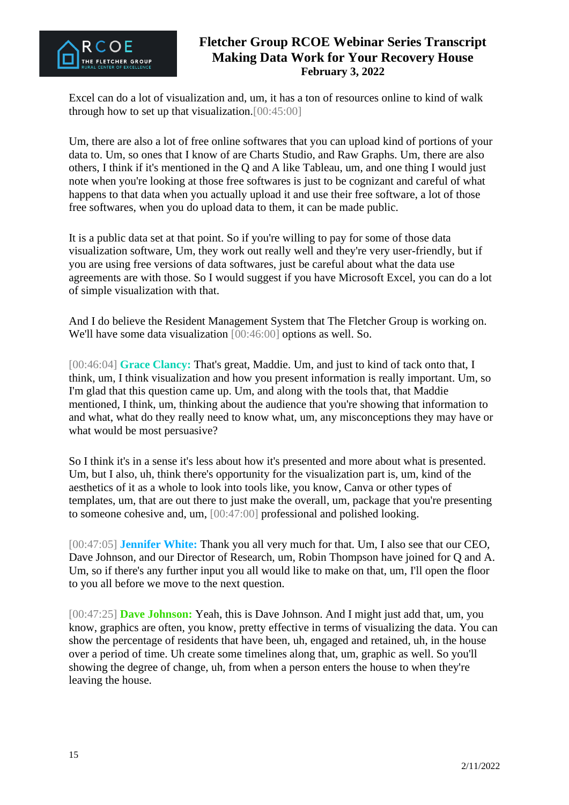

Excel can do a lot of visualization and, um, it has a ton of resources online to kind of walk through how to set up that visualization.[00:45:00]

Um, there are also a lot of free online softwares that you can upload kind of portions of your data to. Um, so ones that I know of are Charts Studio, and Raw Graphs. Um, there are also others, I think if it's mentioned in the Q and A like Tableau, um, and one thing I would just note when you're looking at those free softwares is just to be cognizant and careful of what happens to that data when you actually upload it and use their free software, a lot of those free softwares, when you do upload data to them, it can be made public.

It is a public data set at that point. So if you're willing to pay for some of those data visualization software, Um, they work out really well and they're very user-friendly, but if you are using free versions of data softwares, just be careful about what the data use agreements are with those. So I would suggest if you have Microsoft Excel, you can do a lot of simple visualization with that.

And I do believe the Resident Management System that The Fletcher Group is working on. We'll have some data visualization [00:46:00] options as well. So.

[00:46:04] **Grace Clancy:** That's great, Maddie. Um, and just to kind of tack onto that, I think, um, I think visualization and how you present information is really important. Um, so I'm glad that this question came up. Um, and along with the tools that, that Maddie mentioned, I think, um, thinking about the audience that you're showing that information to and what, what do they really need to know what, um, any misconceptions they may have or what would be most persuasive?

So I think it's in a sense it's less about how it's presented and more about what is presented. Um, but I also, uh, think there's opportunity for the visualization part is, um, kind of the aesthetics of it as a whole to look into tools like, you know, Canva or other types of templates, um, that are out there to just make the overall, um, package that you're presenting to someone cohesive and, um, [00:47:00] professional and polished looking.

[00:47:05] **Jennifer White:** Thank you all very much for that. Um, I also see that our CEO, Dave Johnson, and our Director of Research, um, Robin Thompson have joined for Q and A. Um, so if there's any further input you all would like to make on that, um, I'll open the floor to you all before we move to the next question.

[00:47:25] **Dave Johnson:** Yeah, this is Dave Johnson. And I might just add that, um, you know, graphics are often, you know, pretty effective in terms of visualizing the data. You can show the percentage of residents that have been, uh, engaged and retained, uh, in the house over a period of time. Uh create some timelines along that, um, graphic as well. So you'll showing the degree of change, uh, from when a person enters the house to when they're leaving the house.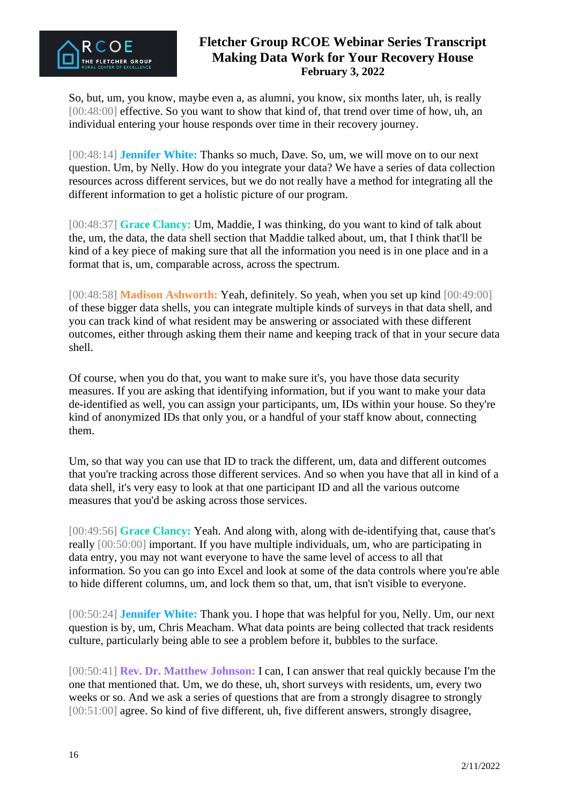

So, but, um, you know, maybe even a, as alumni, you know, six months later, uh, is really [00:48:00] effective. So you want to show that kind of, that trend over time of how, uh, an individual entering your house responds over time in their recovery journey.

[00:48:14] **Jennifer White:** Thanks so much, Dave. So, um, we will move on to our next question. Um, by Nelly. How do you integrate your data? We have a series of data collection resources across different services, but we do not really have a method for integrating all the different information to get a holistic picture of our program.

[00:48:37] **Grace Clancy:** Um, Maddie, I was thinking, do you want to kind of talk about the, um, the data, the data shell section that Maddie talked about, um, that I think that'll be kind of a key piece of making sure that all the information you need is in one place and in a format that is, um, comparable across, across the spectrum.

[00:48:58] **Madison Ashworth:** Yeah, definitely. So yeah, when you set up kind [00:49:00] of these bigger data shells, you can integrate multiple kinds of surveys in that data shell, and you can track kind of what resident may be answering or associated with these different outcomes, either through asking them their name and keeping track of that in your secure data shell.

Of course, when you do that, you want to make sure it's, you have those data security measures. If you are asking that identifying information, but if you want to make your data de-identified as well, you can assign your participants, um, IDs within your house. So they're kind of anonymized IDs that only you, or a handful of your staff know about, connecting them.

Um, so that way you can use that ID to track the different, um, data and different outcomes that you're tracking across those different services. And so when you have that all in kind of a data shell, it's very easy to look at that one participant ID and all the various outcome measures that you'd be asking across those services.

[00:49:56] **Grace Clancy:** Yeah. And along with, along with de-identifying that, cause that's really [00:50:00] important. If you have multiple individuals, um, who are participating in data entry, you may not want everyone to have the same level of access to all that information. So you can go into Excel and look at some of the data controls where you're able to hide different columns, um, and lock them so that, um, that isn't visible to everyone.

[00:50:24] **Jennifer White:** Thank you. I hope that was helpful for you, Nelly. Um, our next question is by, um, Chris Meacham. What data points are being collected that track residents culture, particularly being able to see a problem before it, bubbles to the surface.

[00:50:41] **Rev. Dr. Matthew Johnson:** I can, I can answer that real quickly because I'm the one that mentioned that. Um, we do these, uh, short surveys with residents, um, every two weeks or so. And we ask a series of questions that are from a strongly disagree to strongly [00:51:00] agree. So kind of five different, uh, five different answers, strongly disagree,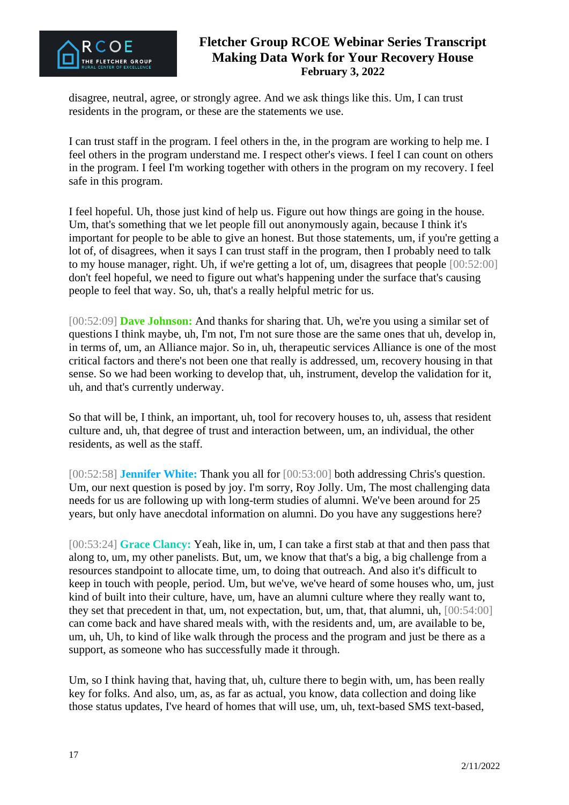

disagree, neutral, agree, or strongly agree. And we ask things like this. Um, I can trust residents in the program, or these are the statements we use.

I can trust staff in the program. I feel others in the, in the program are working to help me. I feel others in the program understand me. I respect other's views. I feel I can count on others in the program. I feel I'm working together with others in the program on my recovery. I feel safe in this program.

I feel hopeful. Uh, those just kind of help us. Figure out how things are going in the house. Um, that's something that we let people fill out anonymously again, because I think it's important for people to be able to give an honest. But those statements, um, if you're getting a lot of, of disagrees, when it says I can trust staff in the program, then I probably need to talk to my house manager, right. Uh, if we're getting a lot of, um, disagrees that people [00:52:00] don't feel hopeful, we need to figure out what's happening under the surface that's causing people to feel that way. So, uh, that's a really helpful metric for us.

[00:52:09] **Dave Johnson:** And thanks for sharing that. Uh, we're you using a similar set of questions I think maybe, uh, I'm not, I'm not sure those are the same ones that uh, develop in, in terms of, um, an Alliance major. So in, uh, therapeutic services Alliance is one of the most critical factors and there's not been one that really is addressed, um, recovery housing in that sense. So we had been working to develop that, uh, instrument, develop the validation for it, uh, and that's currently underway.

So that will be, I think, an important, uh, tool for recovery houses to, uh, assess that resident culture and, uh, that degree of trust and interaction between, um, an individual, the other residents, as well as the staff.

[00:52:58] **Jennifer White:** Thank you all for [00:53:00] both addressing Chris's question. Um, our next question is posed by joy. I'm sorry, Roy Jolly. Um, The most challenging data needs for us are following up with long-term studies of alumni. We've been around for 25 years, but only have anecdotal information on alumni. Do you have any suggestions here?

[00:53:24] **Grace Clancy:** Yeah, like in, um, I can take a first stab at that and then pass that along to, um, my other panelists. But, um, we know that that's a big, a big challenge from a resources standpoint to allocate time, um, to doing that outreach. And also it's difficult to keep in touch with people, period. Um, but we've, we've heard of some houses who, um, just kind of built into their culture, have, um, have an alumni culture where they really want to, they set that precedent in that, um, not expectation, but, um, that, that alumni, uh, [00:54:00] can come back and have shared meals with, with the residents and, um, are available to be, um, uh, Uh, to kind of like walk through the process and the program and just be there as a support, as someone who has successfully made it through.

Um, so I think having that, having that, uh, culture there to begin with, um, has been really key for folks. And also, um, as, as far as actual, you know, data collection and doing like those status updates, I've heard of homes that will use, um, uh, text-based SMS text-based,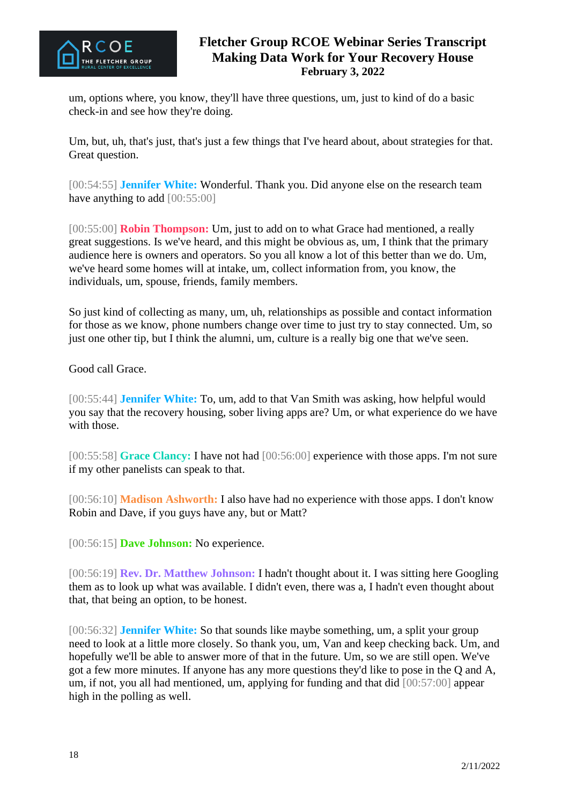

um, options where, you know, they'll have three questions, um, just to kind of do a basic check-in and see how they're doing.

Um, but, uh, that's just, that's just a few things that I've heard about, about strategies for that. Great question.

[00:54:55] **Jennifer White:** Wonderful. Thank you. Did anyone else on the research team have anything to add  $[00:55:00]$ 

[00:55:00] **Robin Thompson:** Um, just to add on to what Grace had mentioned, a really great suggestions. Is we've heard, and this might be obvious as, um, I think that the primary audience here is owners and operators. So you all know a lot of this better than we do. Um, we've heard some homes will at intake, um, collect information from, you know, the individuals, um, spouse, friends, family members.

So just kind of collecting as many, um, uh, relationships as possible and contact information for those as we know, phone numbers change over time to just try to stay connected. Um, so just one other tip, but I think the alumni, um, culture is a really big one that we've seen.

Good call Grace.

[00:55:44] **Jennifer White:** To, um, add to that Van Smith was asking, how helpful would you say that the recovery housing, sober living apps are? Um, or what experience do we have with those.

[00:55:58] **Grace Clancy:** I have not had [00:56:00] experience with those apps. I'm not sure if my other panelists can speak to that.

[00:56:10] **Madison Ashworth:** I also have had no experience with those apps. I don't know Robin and Dave, if you guys have any, but or Matt?

[00:56:15] **Dave Johnson:** No experience.

[00:56:19] **Rev. Dr. Matthew Johnson:** I hadn't thought about it. I was sitting here Googling them as to look up what was available. I didn't even, there was a, I hadn't even thought about that, that being an option, to be honest.

[00:56:32] **Jennifer White:** So that sounds like maybe something, um, a split your group need to look at a little more closely. So thank you, um, Van and keep checking back. Um, and hopefully we'll be able to answer more of that in the future. Um, so we are still open. We've got a few more minutes. If anyone has any more questions they'd like to pose in the Q and A, um, if not, you all had mentioned, um, applying for funding and that did [00:57:00] appear high in the polling as well.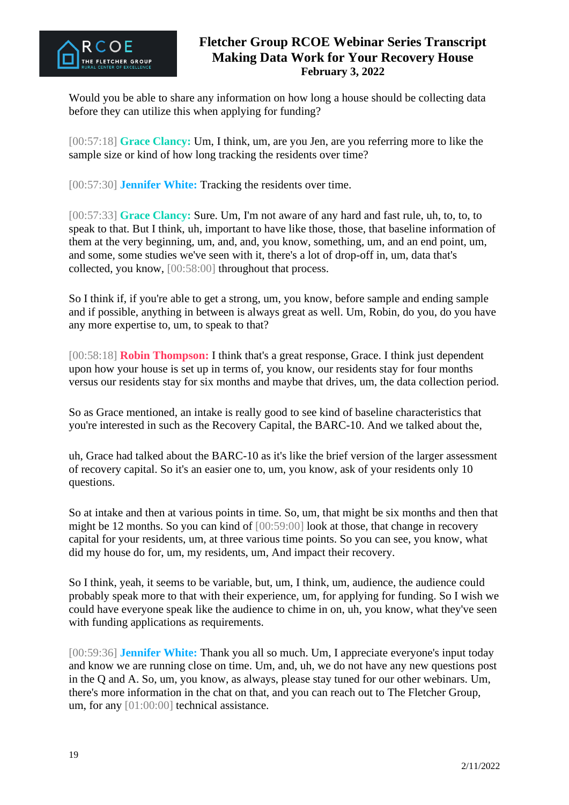

Would you be able to share any information on how long a house should be collecting data before they can utilize this when applying for funding?

[00:57:18] **Grace Clancy:** Um, I think, um, are you Jen, are you referring more to like the sample size or kind of how long tracking the residents over time?

[00:57:30] **Jennifer White:** Tracking the residents over time.

[00:57:33] **Grace Clancy:** Sure. Um, I'm not aware of any hard and fast rule, uh, to, to, to speak to that. But I think, uh, important to have like those, those, that baseline information of them at the very beginning, um, and, and, you know, something, um, and an end point, um, and some, some studies we've seen with it, there's a lot of drop-off in, um, data that's collected, you know, [00:58:00] throughout that process.

So I think if, if you're able to get a strong, um, you know, before sample and ending sample and if possible, anything in between is always great as well. Um, Robin, do you, do you have any more expertise to, um, to speak to that?

[00:58:18] **Robin Thompson:** I think that's a great response, Grace. I think just dependent upon how your house is set up in terms of, you know, our residents stay for four months versus our residents stay for six months and maybe that drives, um, the data collection period.

So as Grace mentioned, an intake is really good to see kind of baseline characteristics that you're interested in such as the Recovery Capital, the BARC-10. And we talked about the,

uh, Grace had talked about the BARC-10 as it's like the brief version of the larger assessment of recovery capital. So it's an easier one to, um, you know, ask of your residents only 10 questions.

So at intake and then at various points in time. So, um, that might be six months and then that might be 12 months. So you can kind of [00:59:00] look at those, that change in recovery capital for your residents, um, at three various time points. So you can see, you know, what did my house do for, um, my residents, um, And impact their recovery.

So I think, yeah, it seems to be variable, but, um, I think, um, audience, the audience could probably speak more to that with their experience, um, for applying for funding. So I wish we could have everyone speak like the audience to chime in on, uh, you know, what they've seen with funding applications as requirements.

[00:59:36] **Jennifer White:** Thank you all so much. Um, I appreciate everyone's input today and know we are running close on time. Um, and, uh, we do not have any new questions post in the Q and A. So, um, you know, as always, please stay tuned for our other webinars. Um, there's more information in the chat on that, and you can reach out to The Fletcher Group, um, for any [01:00:00] technical assistance.